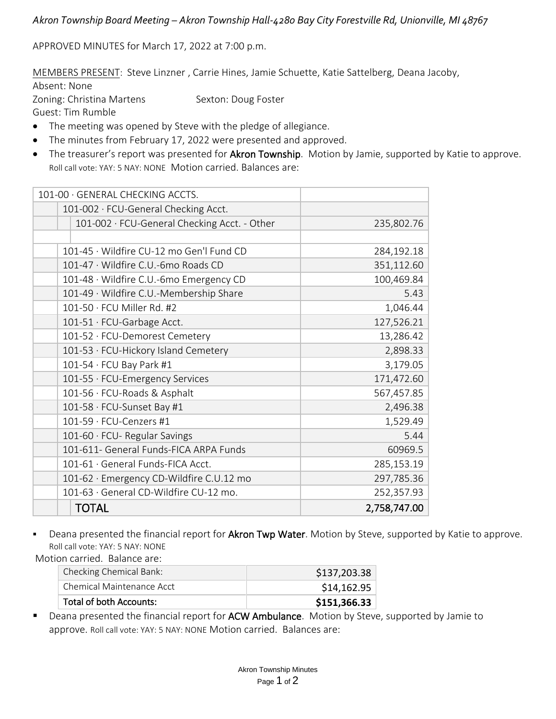## *Akron Township Board Meeting – Akron Township Hall-4280 Bay City Forestville Rd, Unionville, MI 48767*

APPROVED MINUTES for March 17, 2022 at 7:00 p.m.

MEMBERS PRESENT: Steve Linzner , Carrie Hines, Jamie Schuette, Katie Sattelberg, Deana Jacoby, Absent: None

Zoning: Christina Martens Sexton: Doug Foster Guest: Tim Rumble

- The meeting was opened by Steve with the pledge of allegiance.
- The minutes from February 17, 2022 were presented and approved.
- The treasurer's report was presented for Akron Township. Motion by Jamie, supported by Katie to approve. Roll call vote: YAY: 5 NAY: NONE Motion carried. Balances are:

| 101-00 · GENERAL CHECKING ACCTS.             |              |
|----------------------------------------------|--------------|
| 101-002 · FCU-General Checking Acct.         |              |
| 101-002 · FCU-General Checking Acct. - Other | 235,802.76   |
|                                              |              |
| 101-45 · Wildfire CU-12 mo Gen'l Fund CD     | 284,192.18   |
| 101-47 · Wildfire C.U.-6mo Roads CD          | 351,112.60   |
| 101-48 · Wildfire C.U.-6mo Emergency CD      | 100,469.84   |
| 101-49 · Wildfire C.U.-Membership Share      | 5.43         |
| $101-50 \cdot FCU$ Miller Rd. #2             | 1,046.44     |
| 101-51 · FCU-Garbage Acct.                   | 127,526.21   |
| 101-52 · FCU-Demorest Cemetery               | 13,286.42    |
| 101-53 · FCU-Hickory Island Cemetery         | 2,898.33     |
| 101-54 · FCU Bay Park #1                     | 3,179.05     |
| 101-55 · FCU-Emergency Services              | 171,472.60   |
| 101-56 · FCU-Roads & Asphalt                 | 567,457.85   |
| 101-58 · FCU-Sunset Bay #1                   | 2,496.38     |
| 101-59 · FCU-Cenzers #1                      | 1,529.49     |
| 101-60 · FCU- Regular Savings                | 5.44         |
| 101-611- General Funds-FICA ARPA Funds       | 60969.5      |
| 101-61 · General Funds-FICA Acct.            | 285,153.19   |
| 101-62 · Emergency CD-Wildfire C.U.12 mo     | 297,785.36   |
| 101-63 · General CD-Wildfire CU-12 mo.       | 252,357.93   |
| <b>TOTAL</b>                                 | 2,758,747.00 |

Deana presented the financial report for Akron Twp Water. Motion by Steve, supported by Katie to approve. Roll call vote: YAY: 5 NAY: NONE

Motion carried. Balance are:

| Checking Chemical Bank:   | \$137,203.38 |
|---------------------------|--------------|
| Chemical Maintenance Acct | \$14,162.95  |
| Total of both Accounts:   | \$151,366.33 |

■ Deana presented the financial report for ACW Ambulance. Motion by Steve, supported by Jamie to approve. Roll call vote: YAY: 5 NAY: NONE Motion carried. Balances are: